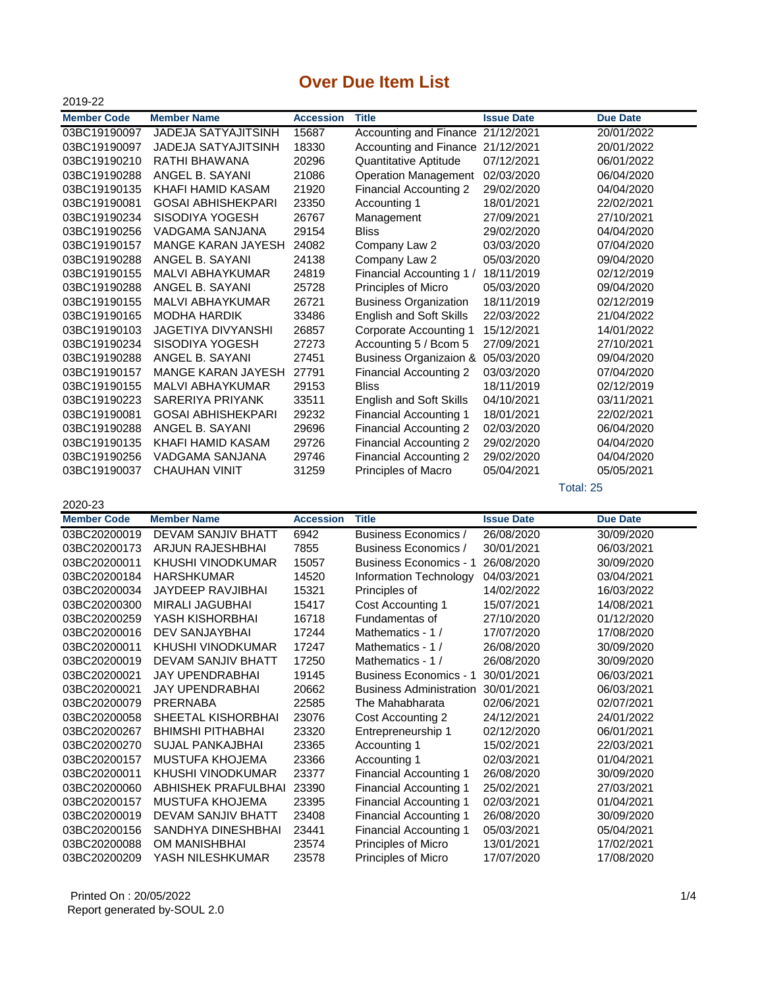## **Over Due Item List**

| 2019-22            |                            |                  |                                   |                   |                 |
|--------------------|----------------------------|------------------|-----------------------------------|-------------------|-----------------|
| <b>Member Code</b> | <b>Member Name</b>         | <b>Accession</b> | <b>Title</b>                      | <b>Issue Date</b> | <b>Due Date</b> |
| 03BC19190097       | <b>JADEJA SATYAJITSINH</b> | 15687            | Accounting and Finance            | 21/12/2021        | 20/01/2022      |
| 03BC19190097       | <b>JADEJA SATYAJITSINH</b> | 18330            | Accounting and Finance            | 21/12/2021        | 20/01/2022      |
| 03BC19190210       | RATHI BHAWANA              | 20296            | Quantitative Aptitude             | 07/12/2021        | 06/01/2022      |
| 03BC19190288       | ANGEL B. SAYANI            | 21086            | <b>Operation Management</b>       | 02/03/2020        | 06/04/2020      |
| 03BC19190135       | KHAFI HAMID KASAM          | 21920            | <b>Financial Accounting 2</b>     | 29/02/2020        | 04/04/2020      |
| 03BC19190081       | <b>GOSAI ABHISHEKPARI</b>  | 23350            | Accounting 1                      | 18/01/2021        | 22/02/2021      |
| 03BC19190234       | SISODIYA YOGESH            | 26767            | Management                        | 27/09/2021        | 27/10/2021      |
| 03BC19190256       | VADGAMA SANJANA            | 29154            | <b>Bliss</b>                      | 29/02/2020        | 04/04/2020      |
| 03BC19190157       | <b>MANGE KARAN JAYESH</b>  | 24082            | Company Law 2                     | 03/03/2020        | 07/04/2020      |
| 03BC19190288       | ANGEL B. SAYANI            | 24138            | Company Law 2                     | 05/03/2020        | 09/04/2020      |
| 03BC19190155       | <b>MALVI ABHAYKUMAR</b>    | 24819            | Financial Accounting 1 /          | 18/11/2019        | 02/12/2019      |
| 03BC19190288       | ANGEL B. SAYANI            | 25728            | Principles of Micro               | 05/03/2020        | 09/04/2020      |
| 03BC19190155       | <b>MALVI ABHAYKUMAR</b>    | 26721            | <b>Business Organization</b>      | 18/11/2019        | 02/12/2019      |
| 03BC19190165       | <b>MODHA HARDIK</b>        | 33486            | <b>English and Soft Skills</b>    | 22/03/2022        | 21/04/2022      |
| 03BC19190103       | <b>JAGETIYA DIVYANSHI</b>  | 26857            | <b>Corporate Accounting 1</b>     | 15/12/2021        | 14/01/2022      |
| 03BC19190234       | SISODIYA YOGESH            | 27273            | Accounting 5 / Bcom 5             | 27/09/2021        | 27/10/2021      |
| 03BC19190288       | ANGEL B. SAYANI            | 27451            | <b>Business Organizaion &amp;</b> | 05/03/2020        | 09/04/2020      |
| 03BC19190157       | <b>MANGE KARAN JAYESH</b>  | 27791            | <b>Financial Accounting 2</b>     | 03/03/2020        | 07/04/2020      |
| 03BC19190155       | <b>MALVI ABHAYKUMAR</b>    | 29153            | <b>Bliss</b>                      | 18/11/2019        | 02/12/2019      |
| 03BC19190223       | SARERIYA PRIYANK           | 33511            | English and Soft Skills           | 04/10/2021        | 03/11/2021      |
| 03BC19190081       | <b>GOSAI ABHISHEKPARI</b>  | 29232            | <b>Financial Accounting 1</b>     | 18/01/2021        | 22/02/2021      |
| 03BC19190288       | ANGEL B. SAYANI            | 29696            | <b>Financial Accounting 2</b>     | 02/03/2020        | 06/04/2020      |
| 03BC19190135       | KHAFI HAMID KASAM          | 29726            | <b>Financial Accounting 2</b>     | 29/02/2020        | 04/04/2020      |
| 03BC19190256       | VADGAMA SANJANA            | 29746            | <b>Financial Accounting 2</b>     | 29/02/2020        | 04/04/2020      |
| 03BC19190037       | <b>CHAUHAN VINIT</b>       | 31259            | Principles of Macro               | 05/04/2021        | 05/05/2021      |
|                    |                            |                  |                                   |                   | Total: 25       |

2020-23

| <b>Member Code</b> | <b>Member Name</b>        | <b>Accession</b> | <b>Title</b>                   | <b>Issue Date</b> | <b>Due Date</b> |
|--------------------|---------------------------|------------------|--------------------------------|-------------------|-----------------|
| 03BC20200019       | <b>DEVAM SANJIV BHATT</b> | 6942             | Business Economics /           | 26/08/2020        | 30/09/2020      |
| 03BC20200173       | <b>ARJUN RAJESHBHAI</b>   | 7855             | Business Economics /           | 30/01/2021        | 06/03/2021      |
| 03BC20200011       | KHUSHI VINODKUMAR         | 15057            | <b>Business Economics - 1</b>  | 26/08/2020        | 30/09/2020      |
| 03BC20200184       | <b>HARSHKUMAR</b>         | 14520            | Information Technology         | 04/03/2021        | 03/04/2021      |
| 03BC20200034       | <b>JAYDEEP RAVJIBHAI</b>  | 15321            | Principles of                  | 14/02/2022        | 16/03/2022      |
| 03BC20200300       | MIRALI JAGUBHAI           | 15417            | Cost Accounting 1              | 15/07/2021        | 14/08/2021      |
| 03BC20200259       | YASH KISHORBHAI           | 16718            | Fundamentas of                 | 27/10/2020        | 01/12/2020      |
| 03BC20200016       | DEV SANJAYBHAI            | 17244            | Mathematics - 1 /              | 17/07/2020        | 17/08/2020      |
| 03BC20200011       | KHUSHI VINODKUMAR         | 17247            | Mathematics - 1 /              | 26/08/2020        | 30/09/2020      |
| 03BC20200019       | DEVAM SANJIV BHATT        | 17250            | Mathematics - 1 /              | 26/08/2020        | 30/09/2020      |
| 03BC20200021       | <b>JAY UPENDRABHAI</b>    | 19145            | <b>Business Economics - 1</b>  | 30/01/2021        | 06/03/2021      |
| 03BC20200021       | <b>JAY UPENDRABHAI</b>    | 20662            | <b>Business Administration</b> | 30/01/2021        | 06/03/2021      |
| 03BC20200079       | <b>PRERNABA</b>           | 22585            | The Mahabharata                | 02/06/2021        | 02/07/2021      |
| 03BC20200058       | SHEETAL KISHORBHAI        | 23076            | Cost Accounting 2              | 24/12/2021        | 24/01/2022      |
| 03BC20200267       | <b>BHIMSHI PITHABHAI</b>  | 23320            | Entrepreneurship 1             | 02/12/2020        | 06/01/2021      |
| 03BC20200270       | <b>SUJAL PANKAJBHAI</b>   | 23365            | Accounting 1                   | 15/02/2021        | 22/03/2021      |
| 03BC20200157       | MUSTUFA KHOJEMA           | 23366            | Accounting 1                   | 02/03/2021        | 01/04/2021      |
| 03BC20200011       | KHUSHI VINODKUMAR         | 23377            | <b>Financial Accounting 1</b>  | 26/08/2020        | 30/09/2020      |
| 03BC20200060       | ABHISHEK PRAFULBHAI       | 23390            | <b>Financial Accounting 1</b>  | 25/02/2021        | 27/03/2021      |
| 03BC20200157       | MUSTUFA KHOJEMA           | 23395            | <b>Financial Accounting 1</b>  | 02/03/2021        | 01/04/2021      |
| 03BC20200019       | DEVAM SANJIV BHATT        | 23408            | Financial Accounting 1         | 26/08/2020        | 30/09/2020      |
| 03BC20200156       | SANDHYA DINESHBHAI        | 23441            | <b>Financial Accounting 1</b>  | 05/03/2021        | 05/04/2021      |
| 03BC20200088       | OM MANISHBHAI             | 23574            | Principles of Micro            | 13/01/2021        | 17/02/2021      |
| 03BC20200209       | YASH NILESHKUMAR          | 23578            | <b>Principles of Micro</b>     | 17/07/2020        | 17/08/2020      |

 Printed On : 20/05/2022 Report generated by-SOUL 2.0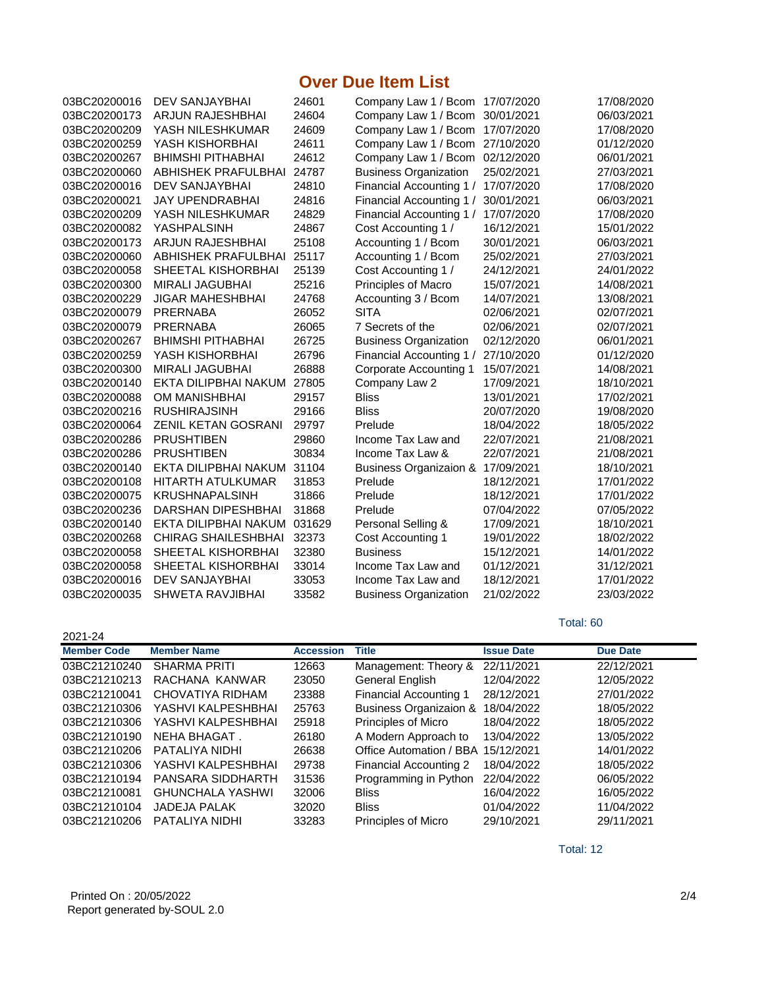## **Over Due Item List**

| 03BC20200016 | <b>DEV SANJAYBHAI</b>      | 24601  | Company Law 1 / Bcom 17/07/2020   |            | 17/08/2020 |
|--------------|----------------------------|--------|-----------------------------------|------------|------------|
| 03BC20200173 | ARJUN RAJESHBHAI           | 24604  | Company Law 1 / Bcom              | 30/01/2021 | 06/03/2021 |
| 03BC20200209 | YASH NILESHKUMAR           | 24609  | Company Law 1 / Bcom              | 17/07/2020 | 17/08/2020 |
| 03BC20200259 | YASH KISHORBHAI            | 24611  | Company Law 1 / Bcom              | 27/10/2020 | 01/12/2020 |
| 03BC20200267 | <b>BHIMSHI PITHABHAI</b>   | 24612  | Company Law 1 / Bcom              | 02/12/2020 | 06/01/2021 |
| 03BC20200060 | ABHISHEK PRAFULBHAI        | 24787  | <b>Business Organization</b>      | 25/02/2021 | 27/03/2021 |
| 03BC20200016 | <b>DEV SANJAYBHAI</b>      | 24810  | Financial Accounting 1 /          | 17/07/2020 | 17/08/2020 |
| 03BC20200021 | <b>JAY UPENDRABHAI</b>     | 24816  | Financial Accounting 1 /          | 30/01/2021 | 06/03/2021 |
| 03BC20200209 | YASH NILESHKUMAR           | 24829  | Financial Accounting 1 /          | 17/07/2020 | 17/08/2020 |
| 03BC20200082 | YASHPALSINH                | 24867  | Cost Accounting 1 /               | 16/12/2021 | 15/01/2022 |
| 03BC20200173 | <b>ARJUN RAJESHBHAI</b>    | 25108  | Accounting 1 / Bcom               | 30/01/2021 | 06/03/2021 |
| 03BC20200060 | ABHISHEK PRAFULBHAI        | 25117  | Accounting 1 / Bcom               | 25/02/2021 | 27/03/2021 |
| 03BC20200058 | SHEETAL KISHORBHAI         | 25139  | Cost Accounting 1 /               | 24/12/2021 | 24/01/2022 |
| 03BC20200300 | <b>MIRALI JAGUBHAI</b>     | 25216  | Principles of Macro               | 15/07/2021 | 14/08/2021 |
| 03BC20200229 | <b>JIGAR MAHESHBHAI</b>    | 24768  | Accounting 3 / Bcom               | 14/07/2021 | 13/08/2021 |
| 03BC20200079 | <b>PRERNABA</b>            | 26052  | <b>SITA</b>                       | 02/06/2021 | 02/07/2021 |
| 03BC20200079 | <b>PRERNABA</b>            | 26065  | 7 Secrets of the                  | 02/06/2021 | 02/07/2021 |
| 03BC20200267 | <b>BHIMSHI PITHABHAI</b>   | 26725  | <b>Business Organization</b>      | 02/12/2020 | 06/01/2021 |
| 03BC20200259 | YASH KISHORBHAI            | 26796  | Financial Accounting 1 /          | 27/10/2020 | 01/12/2020 |
| 03BC20200300 | <b>MIRALI JAGUBHAI</b>     | 26888  | <b>Corporate Accounting 1</b>     | 15/07/2021 | 14/08/2021 |
| 03BC20200140 | EKTA DILIPBHAI NAKUM       | 27805  | Company Law 2                     | 17/09/2021 | 18/10/2021 |
| 03BC20200088 | <b>OM MANISHBHAI</b>       | 29157  | <b>Bliss</b>                      | 13/01/2021 | 17/02/2021 |
| 03BC20200216 | <b>RUSHIRAJSINH</b>        | 29166  | <b>Bliss</b>                      | 20/07/2020 | 19/08/2020 |
| 03BC20200064 | <b>ZENIL KETAN GOSRANI</b> | 29797  | Prelude                           | 18/04/2022 | 18/05/2022 |
| 03BC20200286 | <b>PRUSHTIBEN</b>          | 29860  | Income Tax Law and                | 22/07/2021 | 21/08/2021 |
| 03BC20200286 | <b>PRUSHTIBEN</b>          | 30834  | Income Tax Law &                  | 22/07/2021 | 21/08/2021 |
| 03BC20200140 | EKTA DILIPBHAI NAKUM       | 31104  | <b>Business Organizaion &amp;</b> | 17/09/2021 | 18/10/2021 |
| 03BC20200108 | <b>HITARTH ATULKUMAR</b>   | 31853  | Prelude                           | 18/12/2021 | 17/01/2022 |
| 03BC20200075 | <b>KRUSHNAPALSINH</b>      | 31866  | Prelude                           | 18/12/2021 | 17/01/2022 |
| 03BC20200236 | DARSHAN DIPESHBHAI         | 31868  | Prelude                           | 07/04/2022 | 07/05/2022 |
| 03BC20200140 | EKTA DILIPBHAI NAKUM       | 031629 | Personal Selling &                | 17/09/2021 | 18/10/2021 |
| 03BC20200268 | <b>CHIRAG SHAILESHBHAI</b> | 32373  | Cost Accounting 1                 | 19/01/2022 | 18/02/2022 |
| 03BC20200058 | SHEETAL KISHORBHAI         | 32380  | <b>Business</b>                   | 15/12/2021 | 14/01/2022 |
| 03BC20200058 | SHEETAL KISHORBHAI         | 33014  | Income Tax Law and                | 01/12/2021 | 31/12/2021 |
| 03BC20200016 | <b>DEV SANJAYBHAI</b>      | 33053  | Income Tax Law and                | 18/12/2021 | 17/01/2022 |
| 03BC20200035 | <b>SHWETA RAVJIBHAI</b>    | 33582  | <b>Business Organization</b>      | 21/02/2022 | 23/03/2022 |

## Total: 60

| 2021-24            |                         |                  |                                   |                   |                 |
|--------------------|-------------------------|------------------|-----------------------------------|-------------------|-----------------|
| <b>Member Code</b> | <b>Member Name</b>      | <b>Accession</b> | Title                             | <b>Issue Date</b> | <b>Due Date</b> |
| 03BC21210240       | <b>SHARMA PRITI</b>     | 12663            | Management: Theory &              | 22/11/2021        | 22/12/2021      |
| 03BC21210213       | RACHANA KANWAR          | 23050            | General English                   | 12/04/2022        | 12/05/2022      |
| 03BC21210041       | CHOVATIYA RIDHAM        | 23388            | <b>Financial Accounting 1</b>     | 28/12/2021        | 27/01/2022      |
| 03BC21210306       | YASHVI KALPESHBHAI      | 25763            | <b>Business Organizaion &amp;</b> | 18/04/2022        | 18/05/2022      |
| 03BC21210306       | YASHVI KALPESHBHAI      | 25918            | Principles of Micro               | 18/04/2022        | 18/05/2022      |
| 03BC21210190       | NEHA BHAGAT.            | 26180            | A Modern Approach to              | 13/04/2022        | 13/05/2022      |
| 03BC21210206       | PATALIYA NIDHI          | 26638            | Office Automation / BBA           | 15/12/2021        | 14/01/2022      |
| 03BC21210306       | YASHVI KALPESHBHAI      | 29738            | Financial Accounting 2            | 18/04/2022        | 18/05/2022      |
| 03BC21210194       | PANSARA SIDDHARTH       | 31536            | Programming in Python             | 22/04/2022        | 06/05/2022      |
| 03BC21210081       | <b>GHUNCHALA YASHWI</b> | 32006            | <b>Bliss</b>                      | 16/04/2022        | 16/05/2022      |
| 03BC21210104       | <b>JADEJA PALAK</b>     | 32020            | <b>Bliss</b>                      | 01/04/2022        | 11/04/2022      |
| 03BC21210206       | PATALIYA NIDHI          | 33283            | <b>Principles of Micro</b>        | 29/10/2021        | 29/11/2021      |

Total: 12